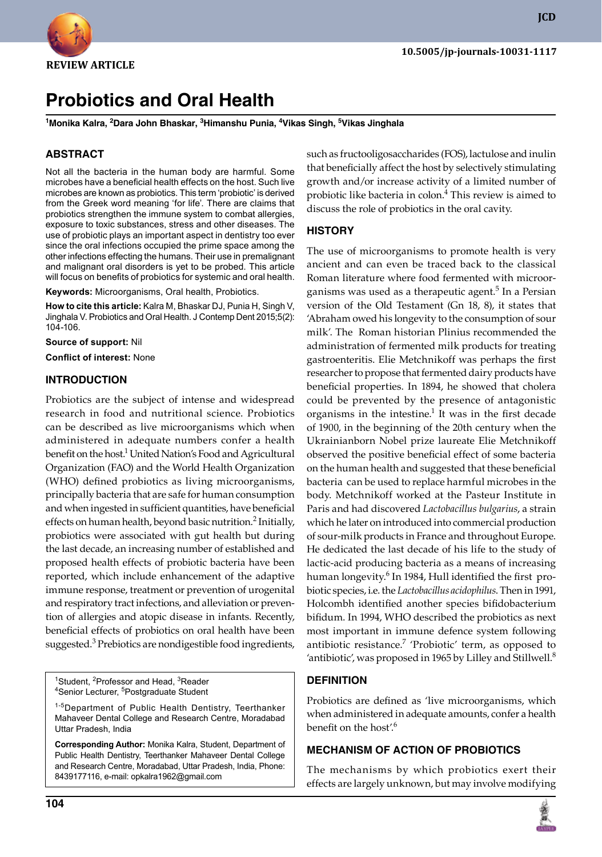

# **Probiotics and Oral Health**

**1 Monika Kalra, 2 Dara John Bhaskar, 3 Himanshu Punia, 4 Vikas Singh, 5 Vikas Jinghala**

# **ABSTRACT**

Not all the bacteria in the human body are harmful. Some microbes have a beneficial health effects on the host. Such live microbes are known as probiotics. This term 'probiotic' is derived from the Greek word meaning 'for life'. There are claims that probiotics strengthen the immune system to combat allergies, exposure to toxic substances, stress and other diseases. The use of probiotic plays an important aspect in dentistry too ever since the oral infections occupied the prime space among the other infections effecting the humans. Their use in premalignant and malignant oral disorders is yet to be probed. This article will focus on benefits of probiotics for systemic and oral health.

Keywords: Microorganisms, Oral health, Probiotics.

**How to cite this article:** Kalra M, Bhaskar DJ, Punia H, Singh V, Jinghala V. Probiotics and Oral Health. J Contemp Dent 2015;5(2): 104-106.

**Source of support:** Nil

**Conflict of interest:** None

#### **Introduction**

Probiotics are the subject of intense and widespread research in food and nutritional science. Probiotics can be described as live microorganisms which when administered in adequate numbers confer a health benefit on the host.<sup>1</sup> United Nation's Food and Agricultural Organization (FAO) and the World Health Organization (WHO) defined probiotics as living microorganisms, principally bacteria that are safe for human consumption and when ingested in sufficient quantities, have beneficial effects on human health, beyond basic nutrition.<sup>2</sup> Initially, probiotics were associated with gut health but during the last decade, an increasing number of established and proposed health effects of probiotic bacteria have been reported, which include enhancement of the adaptive immune response, treatment or prevention of urogenital and respiratory tract infections, and alleviation or prevention of allergies and atopic disease in infants. Recently, beneficial effects of probiotics on oral health have been suggested.<sup>3</sup> Prebiotics are nondigestible food ingredients,

<sup>1</sup>Student, <sup>2</sup>Professor and Head, <sup>3</sup>Reader <sup>4</sup>Senior Lecturer, <sup>5</sup>Postgraduate Student

<sup>1-5</sup>Department of Public Health Dentistry, Teerthanker Mahaveer Dental College and Research Centre, Moradabad Uttar Pradesh, India

**Corresponding Author:** Monika Kalra, Student, Department of Public Health Dentistry, Teerthanker Mahaveer Dental College and Research Centre, Moradabad, Uttar Pradesh, India, Phone: 8439177116, e-mail: opkalra1962@gmail.com

**104**

such as fructooligosaccharides (FOS), lactulose and inulin that beneficially affect the host by selectively stimulating growth and/or increase activity of a limited number of probiotic like bacteria in colon.<sup>4</sup> This review is aimed to discuss the role of probiotics in the oral cavity.

#### **History**

The use of microorganisms to promote health is very ancient and can even be traced back to the classical Roman literature where food fermented with microorganisms was used as a therapeutic agent.<sup>5</sup> In a Persian version of the Old Testament (Gn 18, 8), it states that 'Abraham owed his longevity to the consumption of sour milk'. The Roman historian Plinius recommended the administration of fermented milk products for treating gastroenteritis. Elie Metchnikoff was perhaps the first researcher to propose that fermented dairy products have beneficial properties. In 1894, he showed that cholera could be prevented by the presence of antagonistic organisms in the intestine. $1$  It was in the first decade of 1900, in the beginning of the 20th century when the Ukrainianborn Nobel prize laureate Elie Metchnikoff observed the positive beneficial effect of some bacteria on the human health and suggested that these beneficial bacteria can be used to replace harmful microbes in the body. Metchnikoff worked at the Pasteur Institute in Paris and had discovered *Lactobacillus bulgarius*, a strain which he later on introduced into commercial production of sour-milk products in France and throughout Europe. He dedicated the last decade of his life to the study of lactic-acid producing bacteria as a means of increasing human longevity.<sup>6</sup> In 1984, Hull identified the first probiotic species, i.e. the *lactobacillus acidophilus*. Then in 1991, Holcombh identified another species bifidobacterium bifidum. In 1994, WHO described the probiotics as next most important in immune defence system following antibiotic resistance.<sup>7</sup> 'Probiotic' term, as opposed to 'antibiotic', was proposed in 1965 by Lilley and Stillwell. $8$ 

### **Definition**

Probiotics are defined as 'live microorganisms, which when administered in adequate amounts, confer a health benefit on the host'.<sup>6</sup>

### **Mechanism of action of probiotics**

The mechanisms by which probiotics exert their effects are largely unknown, but may involve modifying

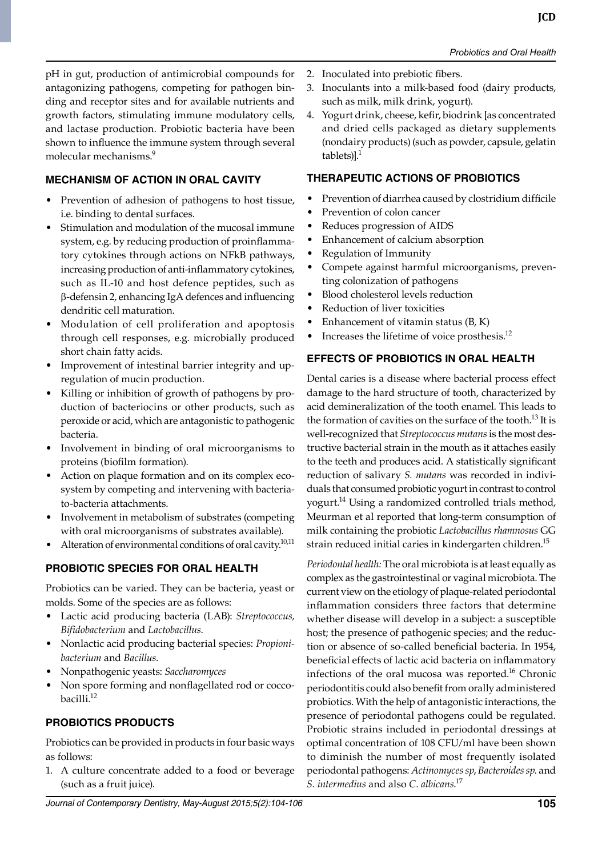pH in gut, production of antimicrobial compounds for antagonizing pathogens, competing for pathogen binding and receptor sites and for available nutrients and growth factors, stimulating immune modulatory cells, and lactase production. Probiotic bacteria have been shown to influence the immune system through several molecular mechanisms.<sup>9</sup>

# **Mechanism of action in oral cavity**

- Prevention of adhesion of pathogens to host tissue, i.e. binding to dental surfaces.
- Stimulation and modulation of the mucosal immune system, e.g. by reducing production of proinflammatory cytokines through actions on NFkB pathways, increasing production of anti-inflammatory cytokines, such as IL-10 and host defence peptides, such as b-defensin 2, enhancing IgA defences and influencing dendritic cell maturation.
- Modulation of cell proliferation and apoptosis through cell responses, e.g. microbially produced short chain fatty acids.
- Improvement of intestinal barrier integrity and upregulation of mucin production.
- Killing or inhibition of growth of pathogens by production of bacteriocins or other products, such as peroxide or acid, which are antagonistic to pathogenic bacteria.
- Involvement in binding of oral microorganisms to proteins (biofilm formation).
- Action on plaque formation and on its complex ecosystem by competing and intervening with bacteriato-bacteria attachments.
- Involvement in metabolism of substrates (competing with oral microorganisms of substrates available).
- Alteration of environmental conditions of oral cavity. $10,11$

# **Probiotic Species for Oral Health**

Probiotics can be varied. They can be bacteria, yeast or molds. Some of the species are as follows:

- Lactic acid producing bacteria (LAB): *streptococcus, bifidobacterium* and *Lactobacillus*.
- Nonlactic acid producing bacterial species: *propionibacterium* and *Bacillus*.
- Nonpathogenic yeasts: *Saccharomyces*
- Non spore forming and nonflagellated rod or coccobacilli.12

### **Probiotics products**

Probiotics can be provided in products in four basic ways as follows:

1. A culture concentrate added to a food or beverage (such as a fruit juice).

- 2. Inoculated into prebiotic fibers.
- 3. Inoculants into a milk-based food (dairy products, such as milk, milk drink, yogurt).
- 4. Yogurt drink, cheese, kefir, biodrink [as concentrated and dried cells packaged as dietary supplements (nondairy products) (such as powder, capsule, gelatin tablets) $]$ .<sup>1</sup>

### **Therapeutic Actions of Probiotics**

- Prevention of diarrhea caused by clostridium difficile
- Prevention of colon cancer
- Reduces progression of AIDS
- Enhancement of calcium absorption
- Regulation of Immunity
- Compete against harmful microorganisms, preventing colonization of pathogens
- blood cholesterol levels reduction
- Reduction of liver toxicities
- Enhancement of vitamin status  $(B, K)$
- Increases the lifetime of voice prosthesis.<sup>12</sup>

# **Effects of Probiotics in oral health**

Dental caries is a disease where bacterial process effect damage to the hard structure of tooth, characterized by acid demineralization of the tooth enamel. This leads to the formation of cavities on the surface of the tooth.<sup>13</sup> It is well-recognized that *Streptococcus mutans* is the most destructive bacterial strain in the mouth as it attaches easily to the teeth and produces acid. A statistically significant reduction of salivary *S. mutans* was recorded in individuals that consumed probiotic yogurt in contrast to control yogurt.<sup>14</sup> Using a randomized controlled trials method, Meurman et al reported that long-term consumption of milk containing the probiotic *Lactobacillus rhamnosus* GG strain reduced initial caries in kindergarten children.<sup>15</sup>

*Periodontal health:* The oral microbiota is at least equally as complex as the gastrointestinal or vaginal microbiota. The current view on the etiology of plaque-related periodontal inflammation considers three factors that determine whether disease will develop in a subject: a susceptible host; the presence of pathogenic species; and the reduction or absence of so-called beneficial bacteria. In 1954, beneficial effects of lactic acid bacteria on inflammatory infections of the oral mucosa was reported.<sup>16</sup> Chronic periodontitis could also benefit from orally administered probiotics. With the help of antagonistic interactions, the presence of periodontal pathogens could be regulated. Probiotic strains included in periodontal dressings at optimal concentration of 108 CFU/ml have been shown to diminish the number of most frequently isolated periodontal pathogens: *Actinomyces sp*, *Bacteroides sp*. and *S. intermedius* and also *C. albicans*. 17